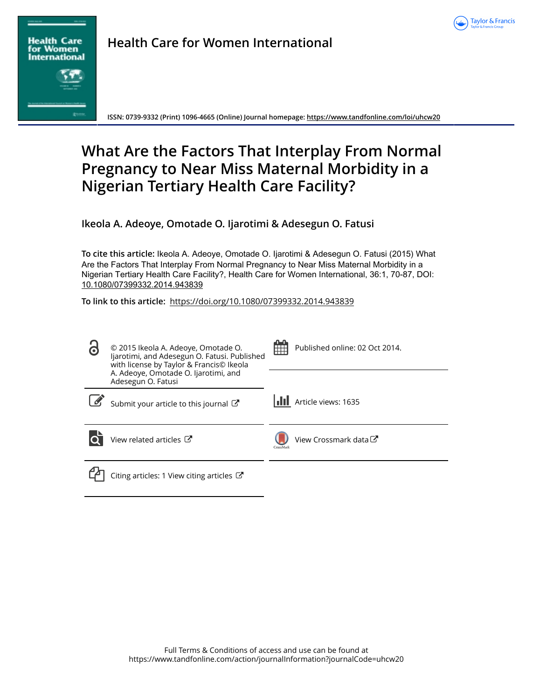

| Health Care<br>for Women<br><b>International</b> |
|--------------------------------------------------|
|                                                  |
|                                                  |
|                                                  |

**Health Care for Women International**

**ISSN: 0739-9332 (Print) 1096-4665 (Online) Journal homepage:<https://www.tandfonline.com/loi/uhcw20>**

# **What Are the Factors That Interplay From Normal Pregnancy to Near Miss Maternal Morbidity in a Nigerian Tertiary Health Care Facility?**

**Ikeola A. Adeoye, Omotade O. Ijarotimi & Adesegun O. Fatusi**

**To cite this article:** Ikeola A. Adeoye, Omotade O. Ijarotimi & Adesegun O. Fatusi (2015) What Are the Factors That Interplay From Normal Pregnancy to Near Miss Maternal Morbidity in a Nigerian Tertiary Health Care Facility?, Health Care for Women International, 36:1, 70-87, DOI: [10.1080/07399332.2014.943839](https://www.tandfonline.com/action/showCitFormats?doi=10.1080/07399332.2014.943839)

**To link to this article:** <https://doi.org/10.1080/07399332.2014.943839>

| $\bullet$ | © 2015 Ikeola A. Adeoye, Omotade O.<br>Ijarotimi, and Adesegun O. Fatusi. Published<br>with license by Taylor & Francis© Ikeola<br>A. Adeoye, Omotade O. Ijarotimi, and<br>Adesegun O. Fatusi |           | Published online: 02 Oct 2014.   |
|-----------|-----------------------------------------------------------------------------------------------------------------------------------------------------------------------------------------------|-----------|----------------------------------|
|           |                                                                                                                                                                                               |           |                                  |
|           | Submit your article to this journal                                                                                                                                                           |           | <b>III</b> Article views: 1635   |
|           | View related articles C                                                                                                                                                                       | CrossMark | View Crossmark data <sup>C</sup> |
|           | Citing articles: 1 View citing articles $\mathbb{Z}$                                                                                                                                          |           |                                  |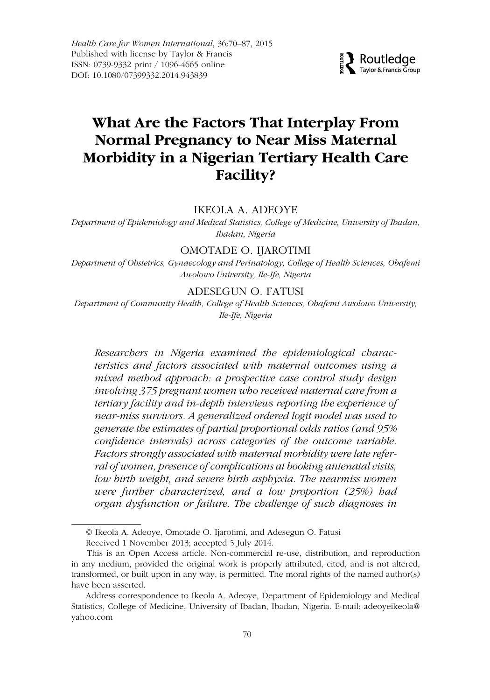

# **What Are the Factors That Interplay From Normal Pregnancy to Near Miss Maternal Morbidity in a Nigerian Tertiary Health Care Facility?**

#### IKEOLA A. ADEOYE

*Department of Epidemiology and Medical Statistics, College of Medicine, University of Ibadan, Ibadan, Nigeria*

# OMOTADE O. IJAROTIMI

*Department of Obstetrics, Gynaecology and Perinatology, College of Health Sciences, Obafemi Awolowo University, Ile-Ife, Nigeria*

# ADESEGUN O. FATUSI

*Department of Community Health, College of Health Sciences, Obafemi Awolowo University, Ile-Ife, Nigeria*

*Researchers in Nigeria examined the epidemiological characteristics and factors associated with maternal outcomes using a mixed method approach: a prospective case control study design involving 375 pregnant women who received maternal care from a tertiary facility and in-depth interviews reporting the experience of near-miss survivors. A generalized ordered logit model was used to generate the estimates of partial proportional odds ratios (and 95% confidence intervals) across categories of the outcome variable. Factors strongly associated with maternal morbidity were late referral of women, presence of complications at booking antenatal visits, low birth weight, and severe birth asphyxia. The nearmiss women were further characterized, and a low proportion (25%) had organ dysfunction or failure. The challenge of such diagnoses in*

<sup>©</sup> Ikeola A. Adeoye, Omotade O. Ijarotimi, and Adesegun O. Fatusi

Received 1 November 2013; accepted 5 July 2014.

This is an Open Access article. Non-commercial re-use, distribution, and reproduction in any medium, provided the original work is properly attributed, cited, and is not altered, transformed, or built upon in any way, is permitted. The moral rights of the named author(s) have been asserted.

Address correspondence to Ikeola A. Adeoye, Department of Epidemiology and Medical Statistics, College of Medicine, University of Ibadan, Ibadan, Nigeria. E-mail: adeoyeikeola@ yahoo.com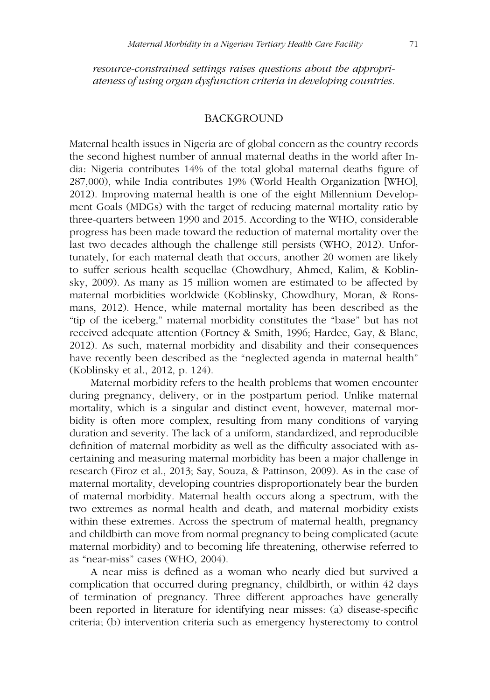*resource-constrained settings raises questions about the appropriateness of using organ dysfunction criteria in developing countries.*

# BACKGROUND

Maternal health issues in Nigeria are of global concern as the country records the second highest number of annual maternal deaths in the world after India: Nigeria contributes 14% of the total global maternal deaths figure of 287,000), while India contributes 19% (World Health Organization [WHO], 2012). Improving maternal health is one of the eight Millennium Development Goals (MDGs) with the target of reducing maternal mortality ratio by three-quarters between 1990 and 2015. According to the WHO, considerable progress has been made toward the reduction of maternal mortality over the last two decades although the challenge still persists (WHO, 2012). Unfortunately, for each maternal death that occurs, another 20 women are likely to suffer serious health sequellae (Chowdhury, Ahmed, Kalim, & Koblinsky, 2009). As many as 15 million women are estimated to be affected by maternal morbidities worldwide (Koblinsky, Chowdhury, Moran, & Ronsmans, 2012). Hence, while maternal mortality has been described as the "tip of the iceberg," maternal morbidity constitutes the "base" but has not received adequate attention (Fortney & Smith, 1996; Hardee, Gay, & Blanc, 2012). As such, maternal morbidity and disability and their consequences have recently been described as the "neglected agenda in maternal health" (Koblinsky et al., 2012, p. 124).

Maternal morbidity refers to the health problems that women encounter during pregnancy, delivery, or in the postpartum period. Unlike maternal mortality, which is a singular and distinct event, however, maternal morbidity is often more complex, resulting from many conditions of varying duration and severity. The lack of a uniform, standardized, and reproducible definition of maternal morbidity as well as the difficulty associated with ascertaining and measuring maternal morbidity has been a major challenge in research (Firoz et al., 2013; Say, Souza, & Pattinson, 2009). As in the case of maternal mortality, developing countries disproportionately bear the burden of maternal morbidity. Maternal health occurs along a spectrum, with the two extremes as normal health and death, and maternal morbidity exists within these extremes. Across the spectrum of maternal health, pregnancy and childbirth can move from normal pregnancy to being complicated (acute maternal morbidity) and to becoming life threatening, otherwise referred to as "near-miss" cases (WHO, 2004).

A near miss is defined as a woman who nearly died but survived a complication that occurred during pregnancy, childbirth, or within 42 days of termination of pregnancy. Three different approaches have generally been reported in literature for identifying near misses: (a) disease-specific criteria; (b) intervention criteria such as emergency hysterectomy to control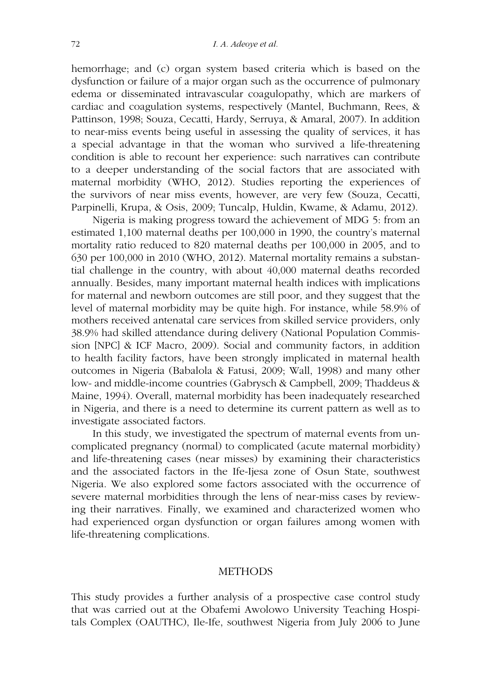hemorrhage; and (c) organ system based criteria which is based on the dysfunction or failure of a major organ such as the occurrence of pulmonary edema or disseminated intravascular coagulopathy, which are markers of cardiac and coagulation systems, respectively (Mantel, Buchmann, Rees, & Pattinson, 1998; Souza, Cecatti, Hardy, Serruya, & Amaral, 2007). In addition to near-miss events being useful in assessing the quality of services, it has a special advantage in that the woman who survived a life-threatening condition is able to recount her experience: such narratives can contribute to a deeper understanding of the social factors that are associated with maternal morbidity (WHO, 2012). Studies reporting the experiences of the survivors of near miss events, however, are very few (Souza, Cecatti, Parpinelli, Krupa, & Osis, 2009; Tuncalp, Huldin, Kwame, & Adamu, 2012).

Nigeria is making progress toward the achievement of MDG 5: from an estimated 1,100 maternal deaths per 100,000 in 1990, the country's maternal mortality ratio reduced to 820 maternal deaths per 100,000 in 2005, and to 630 per 100,000 in 2010 (WHO, 2012). Maternal mortality remains a substantial challenge in the country, with about 40,000 maternal deaths recorded annually. Besides, many important maternal health indices with implications for maternal and newborn outcomes are still poor, and they suggest that the level of maternal morbidity may be quite high. For instance, while 58.9% of mothers received antenatal care services from skilled service providers, only 38.9% had skilled attendance during delivery (National Population Commission [NPC] & ICF Macro, 2009). Social and community factors, in addition to health facility factors, have been strongly implicated in maternal health outcomes in Nigeria (Babalola & Fatusi, 2009; Wall, 1998) and many other low- and middle-income countries (Gabrysch & Campbell, 2009; Thaddeus & Maine, 1994). Overall, maternal morbidity has been inadequately researched in Nigeria, and there is a need to determine its current pattern as well as to investigate associated factors.

In this study, we investigated the spectrum of maternal events from uncomplicated pregnancy (normal) to complicated (acute maternal morbidity) and life-threatening cases (near misses) by examining their characteristics and the associated factors in the Ife-Ijesa zone of Osun State, southwest Nigeria. We also explored some factors associated with the occurrence of severe maternal morbidities through the lens of near-miss cases by reviewing their narratives. Finally, we examined and characterized women who had experienced organ dysfunction or organ failures among women with life-threatening complications.

#### METHODS

This study provides a further analysis of a prospective case control study that was carried out at the Obafemi Awolowo University Teaching Hospitals Complex (OAUTHC), Ile-Ife, southwest Nigeria from July 2006 to June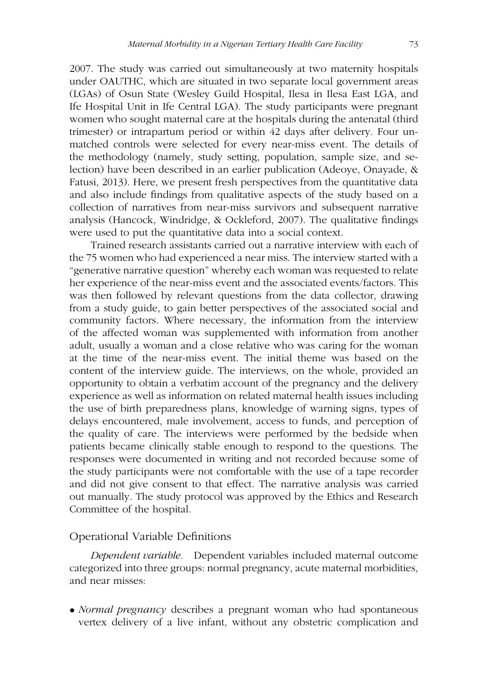2007. The study was carried out simultaneously at two maternity hospitals under OAUTHC, which are situated in two separate local government areas (LGAs) of Osun State (Wesley Guild Hospital, Ilesa in Ilesa East LGA, and Ife Hospital Unit in Ife Central LGA). The study participants were pregnant women who sought maternal care at the hospitals during the antenatal (third trimester) or intrapartum period or within 42 days after delivery. Four unmatched controls were selected for every near-miss event. The details of the methodology (namely, study setting, population, sample size, and selection) have been described in an earlier publication (Adeoye, Onayade, & Fatusi, 2013). Here, we present fresh perspectives from the quantitative data and also include findings from qualitative aspects of the study based on a collection of narratives from near-miss survivors and subsequent narrative analysis (Hancock, Windridge, & Ockleford, 2007). The qualitative findings were used to put the quantitative data into a social context.

Trained research assistants carried out a narrative interview with each of the 75 women who had experienced a near miss. The interview started with a "generative narrative question" whereby each woman was requested to relate her experience of the near-miss event and the associated events/factors. This was then followed by relevant questions from the data collector, drawing from a study guide, to gain better perspectives of the associated social and community factors. Where necessary, the information from the interview of the affected woman was supplemented with information from another adult, usually a woman and a close relative who was caring for the woman at the time of the near-miss event. The initial theme was based on the content of the interview guide. The interviews, on the whole, provided an opportunity to obtain a verbatim account of the pregnancy and the delivery experience as well as information on related maternal health issues including the use of birth preparedness plans, knowledge of warning signs, types of delays encountered, male involvement, access to funds, and perception of the quality of care. The interviews were performed by the bedside when patients became clinically stable enough to respond to the questions. The responses were documented in writing and not recorded because some of the study participants were not comfortable with the use of a tape recorder and did not give consent to that effect. The narrative analysis was carried out manually. The study protocol was approved by the Ethics and Research Committee of the hospital.

# Operational Variable Definitions

*Dependent variable.* Dependent variables included maternal outcome categorized into three groups: normal pregnancy, acute maternal morbidities, and near misses:

• *Normal pregnancy* describes a pregnant woman who had spontaneous vertex delivery of a live infant, without any obstetric complication and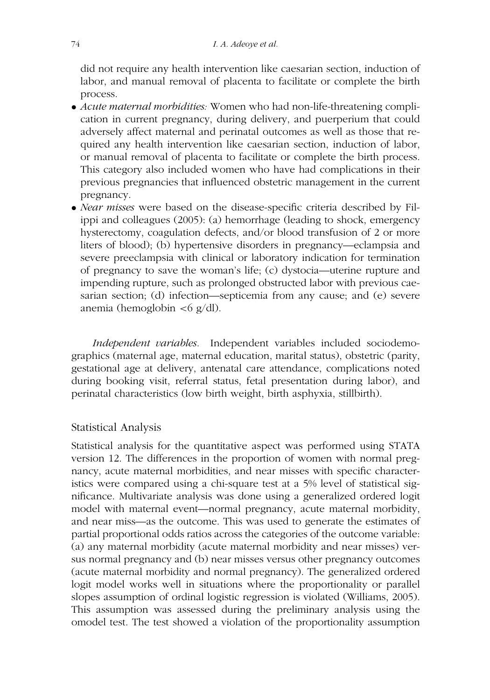did not require any health intervention like caesarian section, induction of labor, and manual removal of placenta to facilitate or complete the birth process.

- *Acute maternal morbidities:* Women who had non-life-threatening complication in current pregnancy, during delivery, and puerperium that could adversely affect maternal and perinatal outcomes as well as those that required any health intervention like caesarian section, induction of labor, or manual removal of placenta to facilitate or complete the birth process. This category also included women who have had complications in their previous pregnancies that influenced obstetric management in the current pregnancy.
- *Near misses* were based on the disease-specific criteria described by Filippi and colleagues (2005): (a) hemorrhage (leading to shock, emergency hysterectomy, coagulation defects, and/or blood transfusion of 2 or more liters of blood); (b) hypertensive disorders in pregnancy—eclampsia and severe preeclampsia with clinical or laboratory indication for termination of pregnancy to save the woman's life; (c) dystocia—uterine rupture and impending rupture, such as prolonged obstructed labor with previous caesarian section; (d) infection—septicemia from any cause; and (e) severe anemia (hemoglobin  $\lt$ 6 g/dl).

*Independent variables.* Independent variables included sociodemographics (maternal age, maternal education, marital status), obstetric (parity, gestational age at delivery, antenatal care attendance, complications noted during booking visit, referral status, fetal presentation during labor), and perinatal characteristics (low birth weight, birth asphyxia, stillbirth).

# Statistical Analysis

Statistical analysis for the quantitative aspect was performed using STATA version 12. The differences in the proportion of women with normal pregnancy, acute maternal morbidities, and near misses with specific characteristics were compared using a chi-square test at a 5% level of statistical significance. Multivariate analysis was done using a generalized ordered logit model with maternal event—normal pregnancy, acute maternal morbidity, and near miss—as the outcome. This was used to generate the estimates of partial proportional odds ratios across the categories of the outcome variable: (a) any maternal morbidity (acute maternal morbidity and near misses) versus normal pregnancy and (b) near misses versus other pregnancy outcomes (acute maternal morbidity and normal pregnancy). The generalized ordered logit model works well in situations where the proportionality or parallel slopes assumption of ordinal logistic regression is violated (Williams, 2005). This assumption was assessed during the preliminary analysis using the omodel test. The test showed a violation of the proportionality assumption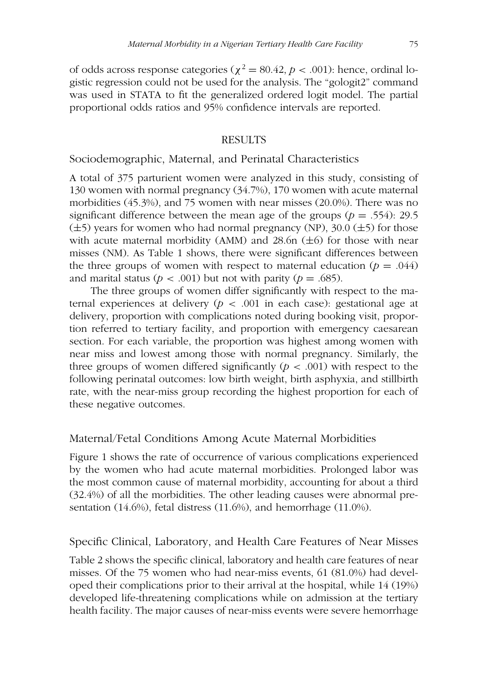of odds across response categories ( $\chi^2 = 80.42$ ,  $p < .001$ ): hence, ordinal logistic regression could not be used for the analysis. The "gologit2" command was used in STATA to fit the generalized ordered logit model. The partial proportional odds ratios and 95% confidence intervals are reported.

#### RESULTS

Sociodemographic, Maternal, and Perinatal Characteristics

A total of 375 parturient women were analyzed in this study, consisting of 130 women with normal pregnancy (34.7%), 170 women with acute maternal morbidities (45.3%), and 75 women with near misses (20.0%). There was no significant difference between the mean age of the groups ( $p = .554$ ): 29.5  $(\pm 5)$  years for women who had normal pregnancy (NP), 30.0 ( $\pm 5$ ) for those with acute maternal morbidity (AMM) and  $28.6n \left(\pm 6\right)$  for those with near misses (NM). As Table 1 shows, there were significant differences between the three groups of women with respect to maternal education ( $p = .044$ ) and marital status ( $p < .001$ ) but not with parity ( $p = .685$ ).

The three groups of women differ significantly with respect to the maternal experiences at delivery  $(p < .001$  in each case): gestational age at delivery, proportion with complications noted during booking visit, proportion referred to tertiary facility, and proportion with emergency caesarean section. For each variable, the proportion was highest among women with near miss and lowest among those with normal pregnancy. Similarly, the three groups of women differed significantly  $(p < .001)$  with respect to the following perinatal outcomes: low birth weight, birth asphyxia, and stillbirth rate, with the near-miss group recording the highest proportion for each of these negative outcomes.

# Maternal/Fetal Conditions Among Acute Maternal Morbidities

Figure 1 shows the rate of occurrence of various complications experienced by the women who had acute maternal morbidities. Prolonged labor was the most common cause of maternal morbidity, accounting for about a third (32.4%) of all the morbidities. The other leading causes were abnormal presentation (14.6%), fetal distress (11.6%), and hemorrhage (11.0%).

# Specific Clinical, Laboratory, and Health Care Features of Near Misses

Table 2 shows the specific clinical, laboratory and health care features of near misses. Of the 75 women who had near-miss events, 61 (81.0%) had developed their complications prior to their arrival at the hospital, while 14 (19%) developed life-threatening complications while on admission at the tertiary health facility. The major causes of near-miss events were severe hemorrhage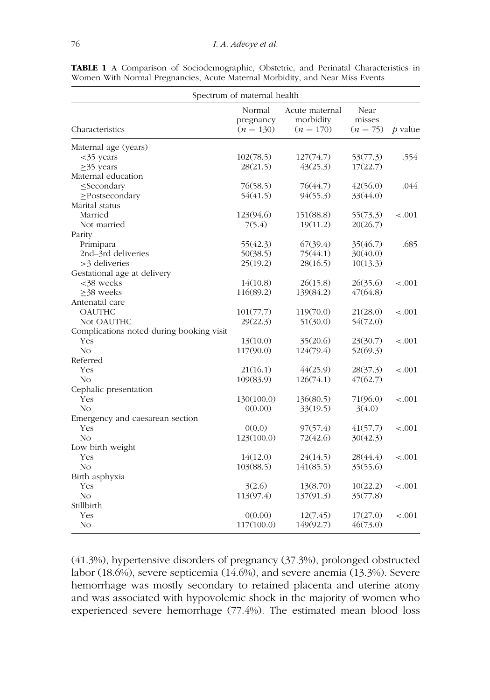| Spectrum of maternal health                                                                     |                                    |                                            |                              |         |  |
|-------------------------------------------------------------------------------------------------|------------------------------------|--------------------------------------------|------------------------------|---------|--|
| Characteristics                                                                                 | Normal<br>pregnancy<br>$(n = 130)$ | Acute maternal<br>morbidity<br>$(n = 170)$ | Near<br>misses<br>$(n = 75)$ | p value |  |
| Maternal age (years)                                                                            |                                    |                                            |                              |         |  |
| $<$ 35 years                                                                                    | 102(78.5)                          | 127(74.7)                                  | 53(77.3)                     | .554    |  |
| $>35$ years                                                                                     | 28(21.5)                           | 43(25.3)                                   | 17(22.7)                     |         |  |
| Maternal education                                                                              |                                    |                                            |                              |         |  |
| <secondary< td=""><td>76(58.5)</td><td>76(44.7)</td><td>42(56.0)</td><td>.044</td></secondary<> | 76(58.5)                           | 76(44.7)                                   | 42(56.0)                     | .044    |  |
| $\geq$ Postsecondary                                                                            | 54(41.5)                           | 94(55.3)                                   | 33(44.0)                     |         |  |
| Marital status                                                                                  |                                    |                                            |                              |         |  |
| Married                                                                                         | 123(94.6)                          | 151(88.8)                                  | 55(73.3)                     | $-.001$ |  |
| Not married                                                                                     | 7(5.4)                             | 19(11.2)                                   | 20(26.7)                     |         |  |
| Parity                                                                                          |                                    |                                            |                              |         |  |
| Primipara                                                                                       | 55(42.3)                           | 67(39.4)                                   | 35(46.7)                     | .685    |  |
| 2nd-3rd deliveries                                                                              | 50(38.5)                           | 75(44.1)                                   | 30(40.0)                     |         |  |
| >3 deliveries                                                                                   | 25(19.2)                           | 28(16.5)                                   | 10(13.3)                     |         |  |
| Gestational age at delivery                                                                     |                                    |                                            |                              |         |  |
| <38 weeks                                                                                       | 14(10.8)                           | 26(15.8)                                   | 26(35.6)                     | $-.001$ |  |
| >38 weeks                                                                                       | 116(89.2)                          | 139(84.2)                                  | 47(64.8)                     |         |  |
| Antenatal care                                                                                  |                                    |                                            |                              |         |  |
| <b>OAUTHC</b>                                                                                   | 101(77.7)                          | 119(70.0)                                  | 21(28.0)                     | $-.001$ |  |
| Not OAUTHC                                                                                      | 29(22.3)                           | 51(30.0)                                   | 54(72.0)                     |         |  |
| Complications noted during booking visit                                                        |                                    |                                            |                              |         |  |
| Yes                                                                                             | 13(10.0)                           | 35(20.6)                                   | 23(30.7)                     | $-.001$ |  |
| No                                                                                              | 117(90.0)                          | 124(79.4)                                  | 52(69.3)                     |         |  |
| Referred                                                                                        |                                    |                                            |                              |         |  |
| Yes                                                                                             | 21(16.1)                           | 44(25.9)                                   | 28(37.3)                     | $-.001$ |  |
| No                                                                                              | 109(83.9)                          | 126(74.1)                                  | 47(62.7)                     |         |  |
| Cephalic presentation                                                                           |                                    |                                            |                              |         |  |
| Yes                                                                                             | 130(100.0)                         | 136(80.5)                                  | 71(96.0)                     | < .001  |  |
| N <sub>O</sub>                                                                                  | 0(0.00)                            | 33(19.5)                                   | 3(4.0)                       |         |  |
| Emergency and caesarean section                                                                 |                                    |                                            |                              |         |  |
| Yes                                                                                             | 0(0.0)                             | 97(57.4)                                   | 41(57.7)                     | < .001  |  |
| No                                                                                              | 123(100.0)                         | 72(42.6)                                   | 30(42.3)                     |         |  |
| Low birth weight                                                                                |                                    |                                            |                              |         |  |
| Yes                                                                                             | 14(12.0)                           | 24(14.5)                                   | 28(44.4)                     | < .001  |  |
| No                                                                                              | 103(88.5)                          | 141(85.5)                                  | 35(55.6)                     |         |  |
|                                                                                                 |                                    |                                            |                              |         |  |
| Birth asphyxia<br>Yes                                                                           | 3(2.6)                             | 13(8.70)                                   | 10(22.2)                     | $-.001$ |  |
| N <sub>O</sub>                                                                                  |                                    |                                            |                              |         |  |
| Stillbirth                                                                                      | 113(97.4)                          | 137(91.3)                                  | 35(77.8)                     |         |  |
|                                                                                                 |                                    |                                            |                              |         |  |
| Yes                                                                                             | 0(0.00)                            | 12(7.45)                                   | 17(27.0)                     | $-.001$ |  |
| No                                                                                              | 117(100.0)                         | 149(92.7)                                  | 46(73.0)                     |         |  |

**TABLE 1** A Comparison of Sociodemographic, Obstetric, and Perinatal Characteristics in Women With Normal Pregnancies, Acute Maternal Morbidity, and Near Miss Events

(41.3%), hypertensive disorders of pregnancy (37.3%), prolonged obstructed labor (18.6%), severe septicemia (14.6%), and severe anemia (13.3%). Severe hemorrhage was mostly secondary to retained placenta and uterine atony and was associated with hypovolemic shock in the majority of women who experienced severe hemorrhage (77.4%). The estimated mean blood loss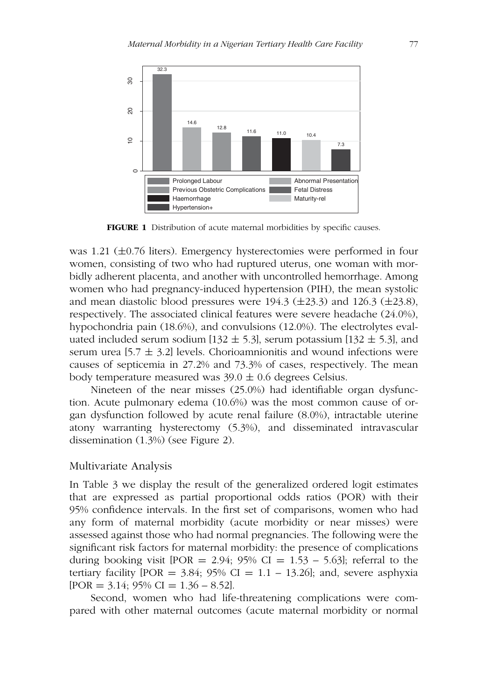

FIGURE 1 Distribution of acute maternal morbidities by specific causes.

was 1.21 (±0.76 liters). Emergency hysterectomies were performed in four women, consisting of two who had ruptured uterus, one woman with morbidly adherent placenta, and another with uncontrolled hemorrhage. Among women who had pregnancy-induced hypertension (PIH), the mean systolic and mean diastolic blood pressures were 194.3  $(\pm 23.3)$  and 126.3  $(\pm 23.8)$ , respectively. The associated clinical features were severe headache (24.0%), hypochondria pain (18.6%), and convulsions (12.0%). The electrolytes evaluated included serum sodium [132  $\pm$  5.3], serum potassium [132  $\pm$  5.3], and serum urea  $[5.7 \pm 3.2]$  levels. Chorioamnionitis and wound infections were causes of septicemia in 27.2% and 73.3% of cases, respectively. The mean body temperature measured was  $39.0 \pm 0.6$  degrees Celsius.

Nineteen of the near misses (25.0%) had identifiable organ dysfunction. Acute pulmonary edema (10.6%) was the most common cause of organ dysfunction followed by acute renal failure (8.0%), intractable uterine atony warranting hysterectomy (5.3%), and disseminated intravascular dissemination (1.3%) (see Figure 2).

#### Multivariate Analysis

In Table 3 we display the result of the generalized ordered logit estimates that are expressed as partial proportional odds ratios (POR) with their 95% confidence intervals. In the first set of comparisons, women who had any form of maternal morbidity (acute morbidity or near misses) were assessed against those who had normal pregnancies. The following were the significant risk factors for maternal morbidity: the presence of complications during booking visit [POR = 2.94; 95% CI =  $1.53 - 5.63$ ]; referral to the tertiary facility  $[POR = 3.84; 95\% CI = 1.1 - 13.26]$ ; and, severe asphyxia  $[POR = 3.14; 95\% CI = 1.36 - 8.52].$ 

Second, women who had life-threatening complications were compared with other maternal outcomes (acute maternal morbidity or normal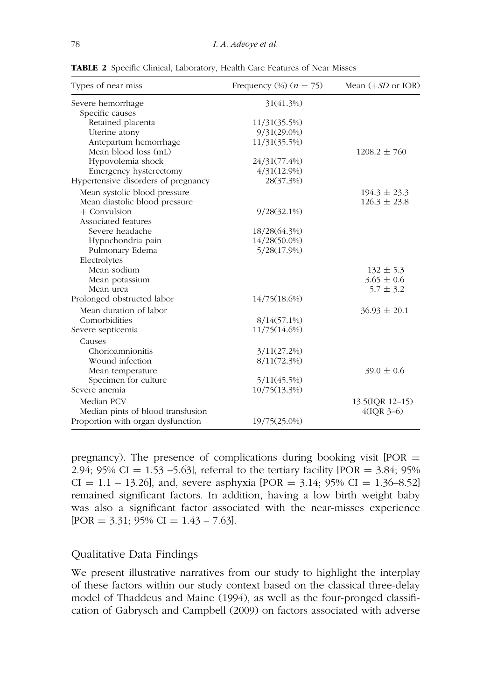| Types of near miss                  | Frequency $\left(\% \right)$ $(n = 75)$ | Mean $(+SD)$ or IOR) |
|-------------------------------------|-----------------------------------------|----------------------|
| Severe hemorrhage                   | 31(41.3%)                               |                      |
| Specific causes                     |                                         |                      |
| Retained placenta                   | 11/31(35.5%)                            |                      |
| Uterine atony                       | $9/31(29.0\%)$                          |                      |
| Antepartum hemorrhage               | 11/31(35.5%)                            |                      |
| Mean blood loss (mL)                |                                         | $1208.2 \pm 760$     |
| Hypovolemia shock                   | 24/31(77.4%)                            |                      |
| Emergency hysterectomy              | 4/31(12.9%)                             |                      |
| Hypertensive disorders of pregnancy | 28(37.3%)                               |                      |
| Mean systolic blood pressure        |                                         | $194.3 \pm 23.3$     |
| Mean diastolic blood pressure       |                                         | $126.3 \pm 23.8$     |
| $+$ Convulsion                      | 9/28(32.1%)                             |                      |
| Associated features                 |                                         |                      |
| Severe headache                     | 18/28(64.3%)                            |                      |
| Hypochondria pain                   | 14/28(50.0%)                            |                      |
| Pulmonary Edema                     | $5/28(17.9\%)$                          |                      |
| Electrolytes                        |                                         |                      |
| Mean sodium                         |                                         | $132 \pm 5.3$        |
| Mean potassium                      |                                         | $3.65 \pm 0.6$       |
| Mean urea                           |                                         | $5.7 \pm 3.2$        |
| Prolonged obstructed labor          | 14/75(18.6%)                            |                      |
| Mean duration of labor              |                                         | $36.93 \pm 20.1$     |
| Comorbidities                       | $8/14(57.1\%)$                          |                      |
| Severe septicemia                   | 11/75(14.6%)                            |                      |
| Causes                              |                                         |                      |
| Chorioamnionitis                    | 3/11(27.2%)                             |                      |
| Wound infection                     | 8/11(72.3%)                             |                      |
| Mean temperature                    |                                         | $39.0 \pm 0.6$       |
| Specimen for culture                | 5/11(45.5%)                             |                      |
| Severe anemia                       | 10/75(13.3%)                            |                      |
| Median PCV                          |                                         | 13.5(IQR 12-15)      |
| Median pints of blood transfusion   |                                         | $4(IQR 3-6)$         |
| Proportion with organ dysfunction   | 19/75(25.0%)                            |                      |

**TABLE 2** Specific Clinical, Laboratory, Health Care Features of Near Misses

pregnancy). The presence of complications during booking visit  $[POR =$ 2.94; 95% CI = 1.53 –5.63, referral to the tertiary facility [POR =  $3.84$ ; 95% CI = 1.1 – 13.26], and, severe asphyxia [POR = 3.14; 95% CI = 1.36–8.52] remained significant factors. In addition, having a low birth weight baby was also a significant factor associated with the near-misses experience  $[POR = 3.31; 95\% CI = 1.43 - 7.63].$ 

# Qualitative Data Findings

We present illustrative narratives from our study to highlight the interplay of these factors within our study context based on the classical three-delay model of Thaddeus and Maine (1994), as well as the four-pronged classification of Gabrysch and Campbell (2009) on factors associated with adverse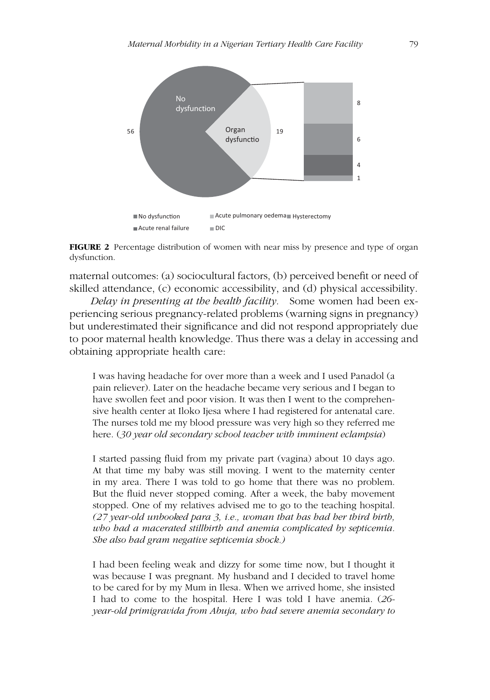

**FIGURE 2** Percentage distribution of women with near miss by presence and type of organ dysfunction.

maternal outcomes: (a) sociocultural factors, (b) perceived benefit or need of skilled attendance, (c) economic accessibility, and (d) physical accessibility.

*Delay in presenting at the health facility.* Some women had been experiencing serious pregnancy-related problems (warning signs in pregnancy) but underestimated their significance and did not respond appropriately due to poor maternal health knowledge. Thus there was a delay in accessing and obtaining appropriate health care:

I was having headache for over more than a week and I used Panadol (a pain reliever). Later on the headache became very serious and I began to have swollen feet and poor vision. It was then I went to the comprehensive health center at Iloko Ijesa where I had registered for antenatal care. The nurses told me my blood pressure was very high so they referred me here. (*30 year old secondary school teacher with imminent eclampsia*)

I started passing fluid from my private part (vagina) about 10 days ago. At that time my baby was still moving. I went to the maternity center in my area. There I was told to go home that there was no problem. But the fluid never stopped coming. After a week, the baby movement stopped. One of my relatives advised me to go to the teaching hospital. *(27 year-old unbooked para 3, i.e., woman that has had her third birth, who had a macerated stillbirth and anemia complicated by septicemia. She also had gram negative septicemia shock.)*

I had been feeling weak and dizzy for some time now, but I thought it was because I was pregnant. My husband and I decided to travel home to be cared for by my Mum in Ilesa. When we arrived home, she insisted I had to come to the hospital. Here I was told I have anemia. (*26 year-old primigravida from Abuja, who had severe anemia secondary to*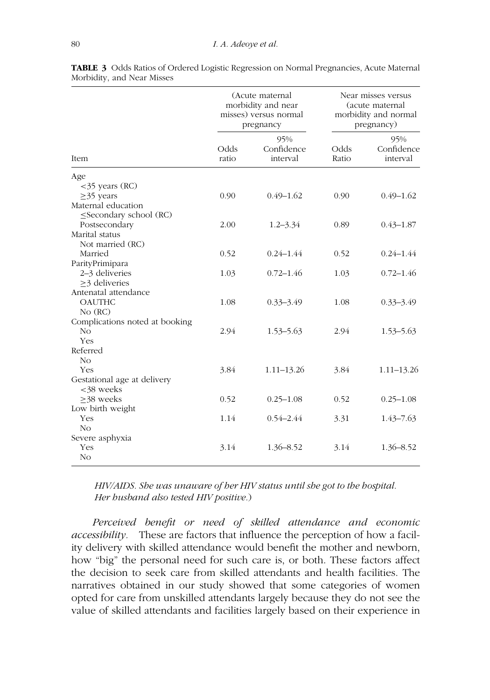|                                |               | (Acute maternal<br>morbidity and near<br>misses) versus normal<br>pregnancy | Near misses versus<br>(acute maternal<br>morbidity and normal<br>pregnancy) |                               |
|--------------------------------|---------------|-----------------------------------------------------------------------------|-----------------------------------------------------------------------------|-------------------------------|
| <b>Item</b>                    | Odds<br>ratio | 95%<br>Confidence<br>interval                                               | Odds<br>Ratio                                                               | 95%<br>Confidence<br>interval |
| Age                            |               |                                                                             |                                                                             |                               |
| $<$ 35 years (RC)              |               |                                                                             |                                                                             |                               |
| $\geq$ 35 years                | 0.90          | $0.49 - 1.62$                                                               | 0.90                                                                        | $0.49 - 1.62$                 |
| Maternal education             |               |                                                                             |                                                                             |                               |
| $\leq$ Secondary school (RC)   |               |                                                                             |                                                                             |                               |
| Postsecondary                  | 2.00          | $1.2 - 3.34$                                                                | 0.89                                                                        | $0.43 - 1.87$                 |
| Marital status                 |               |                                                                             |                                                                             |                               |
| Not married (RC)               |               |                                                                             |                                                                             |                               |
| Married                        | 0.52          | $0.24 - 1.44$                                                               | 0.52                                                                        | $0.24 - 1.44$                 |
| ParityPrimipara                |               |                                                                             |                                                                             |                               |
| 2-3 deliveries                 | 1.03          | $0.72 - 1.46$                                                               | 1.03                                                                        | $0.72 - 1.46$                 |
| >3 deliveries                  |               |                                                                             |                                                                             |                               |
| Antenatal attendance           |               |                                                                             |                                                                             |                               |
| <b>OAUTHC</b>                  | 1.08          | $0.33 - 3.49$                                                               | 1.08                                                                        | $0.33 - 3.49$                 |
| No (RC)                        |               |                                                                             |                                                                             |                               |
| Complications noted at booking |               |                                                                             |                                                                             |                               |
| N <sub>O</sub>                 | 2.94          | 1.53–5.63                                                                   | 2.94                                                                        | $1.53 - 5.63$                 |
| Yes                            |               |                                                                             |                                                                             |                               |
| Referred                       |               |                                                                             |                                                                             |                               |
| No                             |               |                                                                             |                                                                             |                               |
| Yes                            | 3.84          | 1.11-13.26                                                                  | 3.84                                                                        | $1.11 - 13.26$                |
| Gestational age at delivery    |               |                                                                             |                                                                             |                               |
| <38 weeks                      |               |                                                                             |                                                                             |                               |
| >38 weeks                      | 0.52          | $0.25 - 1.08$                                                               | 0.52                                                                        | $0.25 - 1.08$                 |
| Low birth weight               |               |                                                                             |                                                                             |                               |
| Yes                            | 1.14          | $0.54 - 2.44$                                                               | 3.31                                                                        | $1.43 - 7.63$                 |
| No                             |               |                                                                             |                                                                             |                               |
| Severe asphyxia                |               |                                                                             |                                                                             |                               |
| Yes                            | 3.14          | 1.36-8.52                                                                   | 3.14                                                                        | $1.36 - 8.52$                 |
| No                             |               |                                                                             |                                                                             |                               |

**TABLE 3** Odds Ratios of Ordered Logistic Regression on Normal Pregnancies, Acute Maternal Morbidity, and Near Misses

*HIV/AIDS. She was unaware of her HIV status until she got to the hospital. Her husband also tested HIV positive.*)

*Perceived benefit or need of skilled attendance and economic accessibility.* These are factors that influence the perception of how a facility delivery with skilled attendance would benefit the mother and newborn, how "big" the personal need for such care is, or both. These factors affect the decision to seek care from skilled attendants and health facilities. The narratives obtained in our study showed that some categories of women opted for care from unskilled attendants largely because they do not see the value of skilled attendants and facilities largely based on their experience in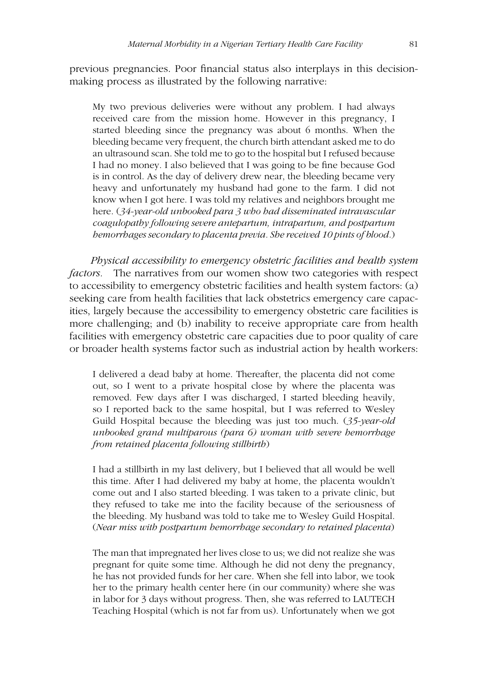previous pregnancies. Poor financial status also interplays in this decisionmaking process as illustrated by the following narrative:

My two previous deliveries were without any problem. I had always received care from the mission home. However in this pregnancy, I started bleeding since the pregnancy was about 6 months. When the bleeding became very frequent, the church birth attendant asked me to do an ultrasound scan. She told me to go to the hospital but I refused because I had no money. I also believed that I was going to be fine because God is in control. As the day of delivery drew near, the bleeding became very heavy and unfortunately my husband had gone to the farm. I did not know when I got here. I was told my relatives and neighbors brought me here. (*34-year-old unbooked para 3 who had disseminated intravascular coagulopathy following severe antepartum, intrapartum, and postpartum hemorrhages secondary to placenta previa. She received 10 pints of blood.*)

*Physical accessibility to emergency obstetric facilities and health system factors.* The narratives from our women show two categories with respect to accessibility to emergency obstetric facilities and health system factors: (a) seeking care from health facilities that lack obstetrics emergency care capacities, largely because the accessibility to emergency obstetric care facilities is more challenging; and (b) inability to receive appropriate care from health facilities with emergency obstetric care capacities due to poor quality of care or broader health systems factor such as industrial action by health workers:

I delivered a dead baby at home. Thereafter, the placenta did not come out, so I went to a private hospital close by where the placenta was removed. Few days after I was discharged, I started bleeding heavily, so I reported back to the same hospital, but I was referred to Wesley Guild Hospital because the bleeding was just too much. (*35-year-old unbooked grand multiparous (para 6) woman with severe hemorrhage from retained placenta following stillbirth*)

I had a stillbirth in my last delivery, but I believed that all would be well this time. After I had delivered my baby at home, the placenta wouldn't come out and I also started bleeding. I was taken to a private clinic, but they refused to take me into the facility because of the seriousness of the bleeding. My husband was told to take me to Wesley Guild Hospital. (*Near miss with postpartum hemorrhage secondary to retained placenta*)

The man that impregnated her lives close to us; we did not realize she was pregnant for quite some time. Although he did not deny the pregnancy, he has not provided funds for her care. When she fell into labor, we took her to the primary health center here (in our community) where she was in labor for 3 days without progress. Then, she was referred to LAUTECH Teaching Hospital (which is not far from us). Unfortunately when we got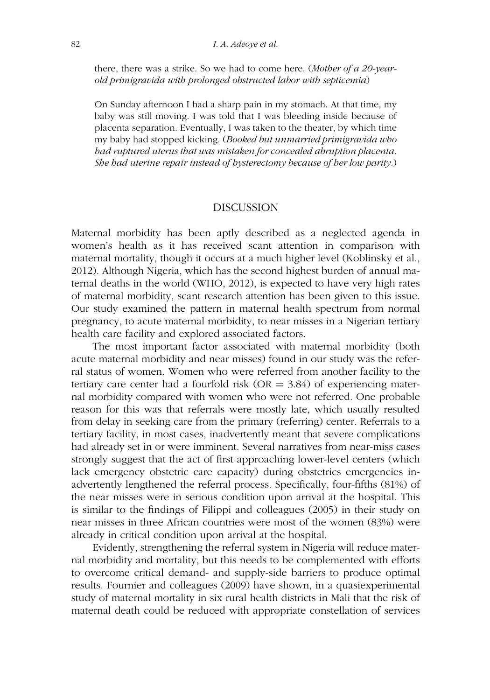there, there was a strike. So we had to come here. (*Mother of a 20-yearold primigravida with prolonged obstructed labor with septicemia*)

On Sunday afternoon I had a sharp pain in my stomach. At that time, my baby was still moving. I was told that I was bleeding inside because of placenta separation. Eventually, I was taken to the theater, by which time my baby had stopped kicking. (*Booked but unmarried primigravida who had ruptured uterus that was mistaken for concealed abruption placenta. She had uterine repair instead of hysterectomy because of her low parity.*)

#### DISCUSSION

Maternal morbidity has been aptly described as a neglected agenda in women's health as it has received scant attention in comparison with maternal mortality, though it occurs at a much higher level (Koblinsky et al., 2012). Although Nigeria, which has the second highest burden of annual maternal deaths in the world (WHO, 2012), is expected to have very high rates of maternal morbidity, scant research attention has been given to this issue. Our study examined the pattern in maternal health spectrum from normal pregnancy, to acute maternal morbidity, to near misses in a Nigerian tertiary health care facility and explored associated factors.

The most important factor associated with maternal morbidity (both acute maternal morbidity and near misses) found in our study was the referral status of women. Women who were referred from another facility to the tertiary care center had a fourfold risk  $(OR = 3.84)$  of experiencing maternal morbidity compared with women who were not referred. One probable reason for this was that referrals were mostly late, which usually resulted from delay in seeking care from the primary (referring) center. Referrals to a tertiary facility, in most cases, inadvertently meant that severe complications had already set in or were imminent. Several narratives from near-miss cases strongly suggest that the act of first approaching lower-level centers (which lack emergency obstetric care capacity) during obstetrics emergencies inadvertently lengthened the referral process. Specifically, four-fifths (81%) of the near misses were in serious condition upon arrival at the hospital. This is similar to the findings of Filippi and colleagues (2005) in their study on near misses in three African countries were most of the women (83%) were already in critical condition upon arrival at the hospital.

Evidently, strengthening the referral system in Nigeria will reduce maternal morbidity and mortality, but this needs to be complemented with efforts to overcome critical demand- and supply-side barriers to produce optimal results. Fournier and colleagues (2009) have shown, in a quasiexperimental study of maternal mortality in six rural health districts in Mali that the risk of maternal death could be reduced with appropriate constellation of services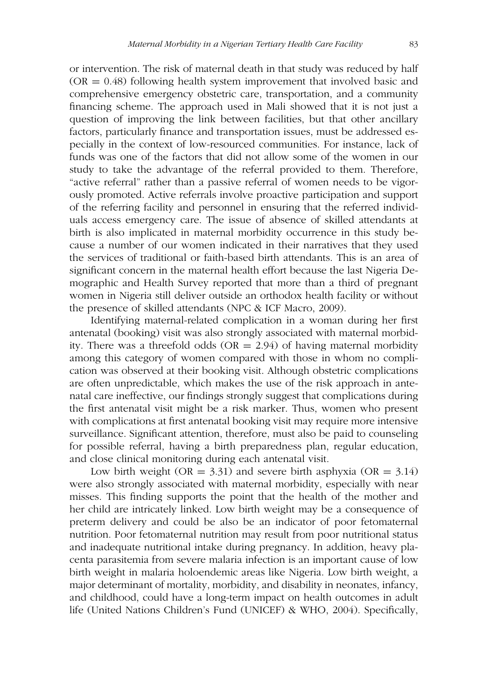or intervention. The risk of maternal death in that study was reduced by half  $(OR = 0.48)$  following health system improvement that involved basic and comprehensive emergency obstetric care, transportation, and a community financing scheme. The approach used in Mali showed that it is not just a question of improving the link between facilities, but that other ancillary factors, particularly finance and transportation issues, must be addressed especially in the context of low-resourced communities. For instance, lack of funds was one of the factors that did not allow some of the women in our study to take the advantage of the referral provided to them. Therefore, "active referral" rather than a passive referral of women needs to be vigorously promoted. Active referrals involve proactive participation and support of the referring facility and personnel in ensuring that the referred individuals access emergency care. The issue of absence of skilled attendants at birth is also implicated in maternal morbidity occurrence in this study because a number of our women indicated in their narratives that they used the services of traditional or faith-based birth attendants. This is an area of significant concern in the maternal health effort because the last Nigeria Demographic and Health Survey reported that more than a third of pregnant women in Nigeria still deliver outside an orthodox health facility or without the presence of skilled attendants (NPC & ICF Macro, 2009).

Identifying maternal-related complication in a woman during her first antenatal (booking) visit was also strongly associated with maternal morbidity. There was a threefold odds  $(OR = 2.94)$  of having maternal morbidity among this category of women compared with those in whom no complication was observed at their booking visit. Although obstetric complications are often unpredictable, which makes the use of the risk approach in antenatal care ineffective, our findings strongly suggest that complications during the first antenatal visit might be a risk marker. Thus, women who present with complications at first antenatal booking visit may require more intensive surveillance. Significant attention, therefore, must also be paid to counseling for possible referral, having a birth preparedness plan, regular education, and close clinical monitoring during each antenatal visit.

Low birth weight (OR =  $3.31$ ) and severe birth asphyxia (OR =  $3.14$ ) were also strongly associated with maternal morbidity, especially with near misses. This finding supports the point that the health of the mother and her child are intricately linked. Low birth weight may be a consequence of preterm delivery and could be also be an indicator of poor fetomaternal nutrition. Poor fetomaternal nutrition may result from poor nutritional status and inadequate nutritional intake during pregnancy. In addition, heavy placenta parasitemia from severe malaria infection is an important cause of low birth weight in malaria holoendemic areas like Nigeria. Low birth weight, a major determinant of mortality, morbidity, and disability in neonates, infancy, and childhood, could have a long-term impact on health outcomes in adult life (United Nations Children's Fund (UNICEF) & WHO, 2004). Specifically,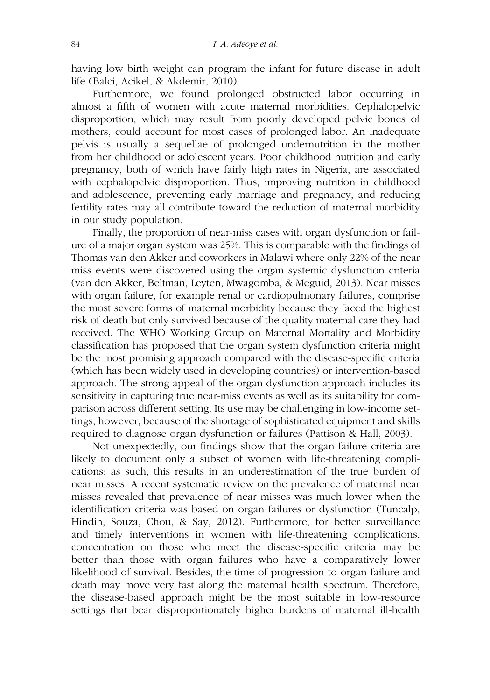having low birth weight can program the infant for future disease in adult life (Balci, Acikel, & Akdemir, 2010).

Furthermore, we found prolonged obstructed labor occurring in almost a fifth of women with acute maternal morbidities. Cephalopelvic disproportion, which may result from poorly developed pelvic bones of mothers, could account for most cases of prolonged labor. An inadequate pelvis is usually a sequellae of prolonged undernutrition in the mother from her childhood or adolescent years. Poor childhood nutrition and early pregnancy, both of which have fairly high rates in Nigeria, are associated with cephalopelvic disproportion. Thus, improving nutrition in childhood and adolescence, preventing early marriage and pregnancy, and reducing fertility rates may all contribute toward the reduction of maternal morbidity in our study population.

Finally, the proportion of near-miss cases with organ dysfunction or failure of a major organ system was 25%. This is comparable with the findings of Thomas van den Akker and coworkers in Malawi where only 22% of the near miss events were discovered using the organ systemic dysfunction criteria (van den Akker, Beltman, Leyten, Mwagomba, & Meguid, 2013). Near misses with organ failure, for example renal or cardiopulmonary failures, comprise the most severe forms of maternal morbidity because they faced the highest risk of death but only survived because of the quality maternal care they had received. The WHO Working Group on Maternal Mortality and Morbidity classification has proposed that the organ system dysfunction criteria might be the most promising approach compared with the disease-specific criteria (which has been widely used in developing countries) or intervention-based approach. The strong appeal of the organ dysfunction approach includes its sensitivity in capturing true near-miss events as well as its suitability for comparison across different setting. Its use may be challenging in low-income settings, however, because of the shortage of sophisticated equipment and skills required to diagnose organ dysfunction or failures (Pattison & Hall, 2003).

Not unexpectedly, our findings show that the organ failure criteria are likely to document only a subset of women with life-threatening complications: as such, this results in an underestimation of the true burden of near misses. A recent systematic review on the prevalence of maternal near misses revealed that prevalence of near misses was much lower when the identification criteria was based on organ failures or dysfunction (Tuncalp, Hindin, Souza, Chou, & Say, 2012). Furthermore, for better surveillance and timely interventions in women with life-threatening complications, concentration on those who meet the disease-specific criteria may be better than those with organ failures who have a comparatively lower likelihood of survival. Besides, the time of progression to organ failure and death may move very fast along the maternal health spectrum. Therefore, the disease-based approach might be the most suitable in low-resource settings that bear disproportionately higher burdens of maternal ill-health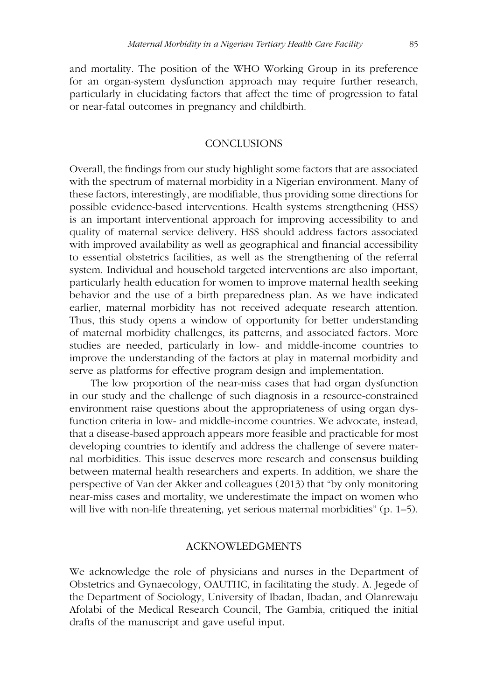and mortality. The position of the WHO Working Group in its preference for an organ-system dysfunction approach may require further research, particularly in elucidating factors that affect the time of progression to fatal or near-fatal outcomes in pregnancy and childbirth.

#### **CONCLUSIONS**

Overall, the findings from our study highlight some factors that are associated with the spectrum of maternal morbidity in a Nigerian environment. Many of these factors, interestingly, are modifiable, thus providing some directions for possible evidence-based interventions. Health systems strengthening (HSS) is an important interventional approach for improving accessibility to and quality of maternal service delivery. HSS should address factors associated with improved availability as well as geographical and financial accessibility to essential obstetrics facilities, as well as the strengthening of the referral system. Individual and household targeted interventions are also important, particularly health education for women to improve maternal health seeking behavior and the use of a birth preparedness plan. As we have indicated earlier, maternal morbidity has not received adequate research attention. Thus, this study opens a window of opportunity for better understanding of maternal morbidity challenges, its patterns, and associated factors. More studies are needed, particularly in low- and middle-income countries to improve the understanding of the factors at play in maternal morbidity and serve as platforms for effective program design and implementation.

The low proportion of the near-miss cases that had organ dysfunction in our study and the challenge of such diagnosis in a resource-constrained environment raise questions about the appropriateness of using organ dysfunction criteria in low- and middle-income countries. We advocate, instead, that a disease-based approach appears more feasible and practicable for most developing countries to identify and address the challenge of severe maternal morbidities. This issue deserves more research and consensus building between maternal health researchers and experts. In addition, we share the perspective of Van der Akker and colleagues (2013) that "by only monitoring near-miss cases and mortality, we underestimate the impact on women who will live with non-life threatening, yet serious maternal morbidities" (p. 1–5).

#### ACKNOWLEDGMENTS

We acknowledge the role of physicians and nurses in the Department of Obstetrics and Gynaecology, OAUTHC, in facilitating the study. A. Jegede of the Department of Sociology, University of Ibadan, Ibadan, and Olanrewaju Afolabi of the Medical Research Council, The Gambia, critiqued the initial drafts of the manuscript and gave useful input.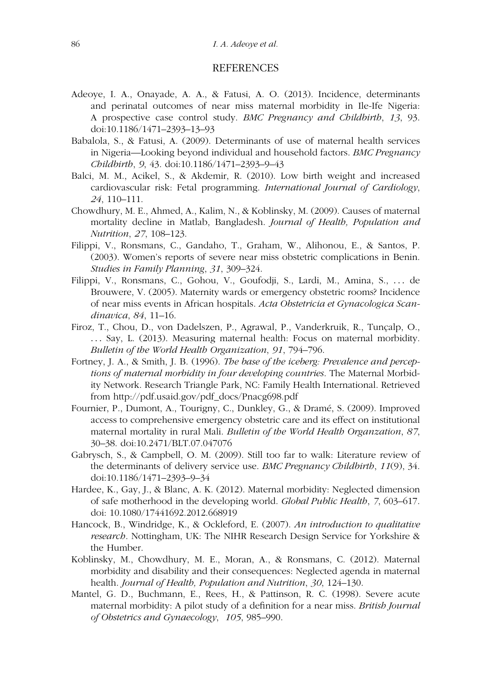#### REFERENCES

- Adeoye, I. A., Onayade, A. A., & Fatusi, A. O. (2013). Incidence, determinants and perinatal outcomes of near miss maternal morbidity in Ile-Ife Nigeria: A prospective case control study. *BMC Pregnancy and Childbirth*, *13*, 93. doi:10.1186/1471–2393–13–93
- Babalola, S., & Fatusi, A. (2009). Determinants of use of maternal health services in Nigeria—Looking beyond individual and household factors. *BMC Pregnancy Childbirth*, *9*, 43. doi:10.1186/1471–2393–9–43
- Balci, M. M., Acikel, S., & Akdemir, R. (2010). Low birth weight and increased cardiovascular risk: Fetal programming. *International Journal of Cardiology*, *24*, 110–111.
- Chowdhury, M. E., Ahmed, A., Kalim, N., & Koblinsky, M. (2009). Causes of maternal mortality decline in Matlab, Bangladesh. *Journal of Health, Population and Nutrition*, *27*, 108–123.
- Filippi, V., Ronsmans, C., Gandaho, T., Graham, W., Alihonou, E., & Santos, P. (2003). Women's reports of severe near miss obstetric complications in Benin. *Studies in Family Planning*, *31*, 309–324.
- Filippi, V., Ronsmans, C., Gohou, V., Goufodji, S., Lardi, M., Amina, S., ... de Brouwere, V. (2005). Maternity wards or emergency obstetric rooms? Incidence of near miss events in African hospitals. *Acta Obstetricia et Gynacologica Scandinavica*, *84*, 11–16.
- Firoz, T., Chou, D., von Dadelszen, P., Agrawal, P., Vanderkruik, R., Tunçalp, O., ... Say, L. (2013). Measuring maternal health: Focus on maternal morbidity. *Bulletin of the World Health Organization*, *91*, 794–796.
- Fortney, J. A., & Smith, J. B. (1996). *The base of the iceberg: Prevalence and perceptions of maternal morbidity in four developing countries*. The Maternal Morbidity Network. Research Triangle Park, NC: Family Health International. Retrieved from http://pdf.usaid.gov/pdf\_docs/Pnacg698.pdf
- Fournier, P., Dumont, A., Tourigny, C., Dunkley, G., & Drame, S. (2009). Improved ´ access to comprehensive emergency obstetric care and its effect on institutional maternal mortality in rural Mali. *Bulletin of the World Health Organzation*, *87*, 30–38. doi:10.2471/BLT.07.047076
- Gabrysch, S., & Campbell, O. M. (2009). Still too far to walk: Literature review of the determinants of delivery service use. *BMC Pregnancy Childbirth*, *11*(9), 34. doi:10.1186/1471–2393–9–34
- Hardee, K., Gay, J., & Blanc, A. K. (2012). Maternal morbidity: Neglected dimension of safe motherhood in the developing world. *Global Public Health*, *7*, 603–617. doi: 10.1080/17441692.2012.668919
- Hancock, B., Windridge, K., & Ockleford, E. (2007). *An introduction to qualitative research*. Nottingham, UK: The NIHR Research Design Service for Yorkshire & the Humber.
- Koblinsky, M., Chowdhury, M. E., Moran, A., & Ronsmans, C. (2012). Maternal morbidity and disability and their consequences: Neglected agenda in maternal health. *Journal of Health, Population and Nutrition*, *30*, 124–130.
- Mantel, G. D., Buchmann, E., Rees, H., & Pattinson, R. C. (1998). Severe acute maternal morbidity: A pilot study of a definition for a near miss. *British Journal of Obstetrics and Gynaecology*, *105*, 985–990.